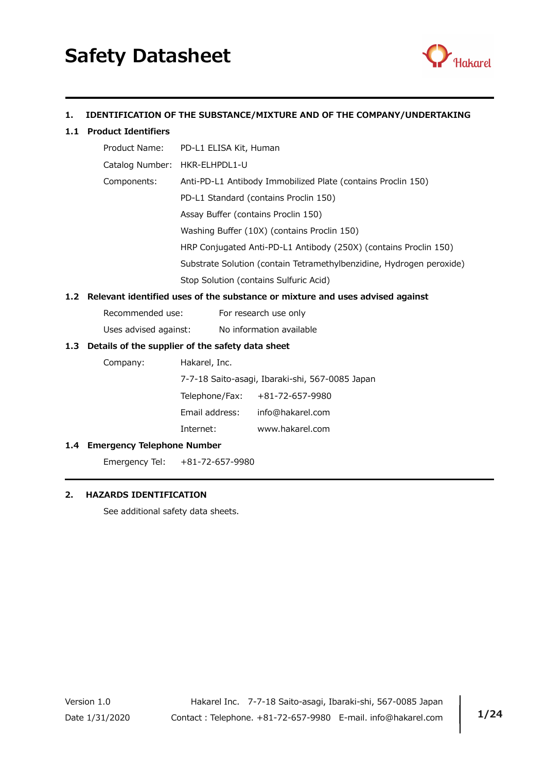

# 1. IDENTIFICATION OF THE SUBSTANCE/MIXTURE AND OF THE COMPANY/UNDERTAKING

### 1.1 Product Identifiers

|                               | Product Name: PD-L1 ELISA Kit, Human                                 |
|-------------------------------|----------------------------------------------------------------------|
| Catalog Number: HKR-ELHPDL1-U |                                                                      |
| Components:                   | Anti-PD-L1 Antibody Immobilized Plate (contains Proclin 150)         |
|                               | PD-L1 Standard (contains Proclin 150)                                |
|                               | Assay Buffer (contains Proclin 150)                                  |
|                               | Washing Buffer (10X) (contains Proclin 150)                          |
|                               | HRP Conjugated Anti-PD-L1 Antibody (250X) (contains Proclin 150)     |
|                               | Substrate Solution (contain Tetramethylbenzidine, Hydrogen peroxide) |
|                               | Stop Solution (contains Sulfuric Acid)                               |

### 1.2 Relevant identified uses of the substance or mixture and uses advised against

Uses advised against: No information available

### 1.3 Details of the supplier of the safety data sheet

Company: Hakarel, Inc.

7-7-18 Saito-asagi, Ibaraki-shi, 567-0085 Japan

| Telephone/Fax: | +81-72-657-9980  |
|----------------|------------------|
| Email address: | info@hakarel.com |

Internet: www.hakarel.com

#### 1.4 Emergency Telephone Number

Emergency Tel: +81-72-657-9980

## 2. HAZARDS IDENTIFICATION

See additional safety data sheets.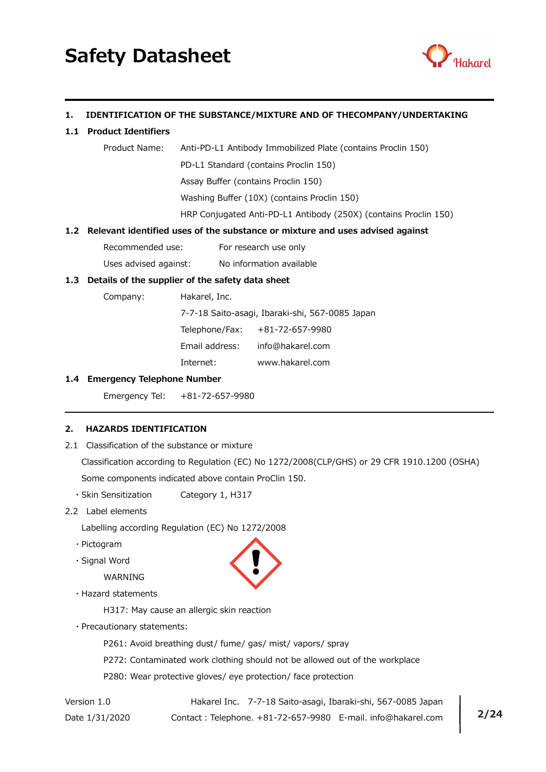

## 1. IDENTIFICATION OF THE SUBSTANCE/MIXTURE AND OF THECOMPANY/UNDERTAKING

### 1.1 Product Identifiers

| Product Name: | Anti-PD-L1 Antibody Immobilized Plate (contains Proclin 150)     |
|---------------|------------------------------------------------------------------|
|               | PD-L1 Standard (contains Proclin 150)                            |
|               | Assay Buffer (contains Proclin 150)                              |
|               | Washing Buffer (10X) (contains Proclin 150)                      |
|               | HRP Conjugated Anti-PD-L1 Antibody (250X) (contains Proclin 150) |
|               |                                                                  |

## 1.2 Relevant identified uses of the substance or mixture and uses advised against

Recommended use: For research use only

Uses advised against: No information available

# 1.3 Details of the supplier of the safety data sheet

Company: Hakarel, Inc.

 7-7-18 Saito-asagi, Ibaraki-shi, 567-0085 Japan Telephone/Fax: +81-72-657-9980

Email address: info@hakarel.com

Internet: www.hakarel.com

#### 1.4 Emergency Telephone Number

Emergency Tel: +81-72-657-9980

## 2. HAZARDS IDENTIFICATION

2.1 Classification of the substance or mixture

 Classification according to Regulation (EC) No 1272/2008(CLP/GHS) or 29 CFR 1910.1200 (OSHA) Some components indicated above contain ProClin 150.

- ・Skin Sensitization Category 1, H317
- 2.2 Label elements

Labelling according Regulation (EC) No 1272/2008

- ・Pictogram
- ・Signal Word

WARNING

・Hazard statements

H317: May cause an allergic skin reaction

・Precautionary statements:

P261: Avoid breathing dust/ fume/ gas/ mist/ vapors/ spray

- P272: Contaminated work clothing should not be allowed out of the workplace
- P280: Wear protective gloves/ eye protection/ face protection

Version 1.0 Hakarel Inc. 7-7-18 Saito-asagi, Ibaraki-shi, 567-0085 Japan Date 1/31/2020 Contact: Telephone. +81-72-657-9980 E-mail. info@hakarel.com | 2/24

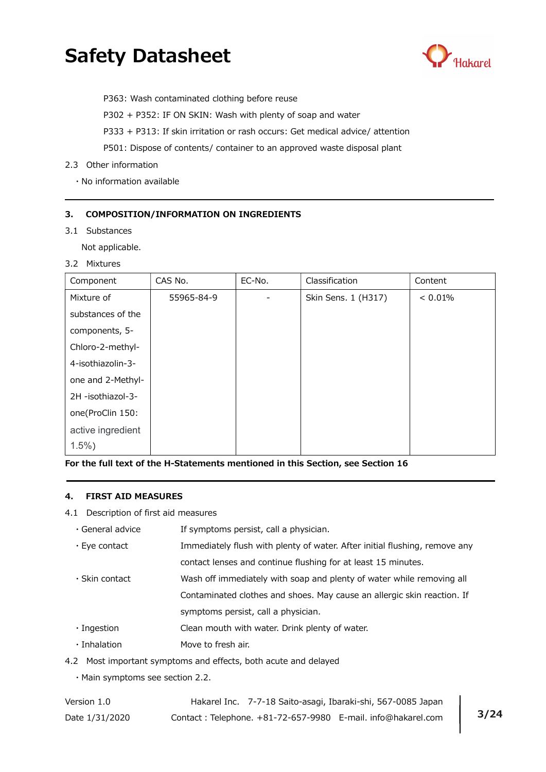

P363: Wash contaminated clothing before reuse

P302 + P352: IF ON SKIN: Wash with plenty of soap and water

P333 + P313: If skin irritation or rash occurs: Get medical advice/ attention

P501: Dispose of contents/ container to an approved waste disposal plant

### 2.3 Other information

・No information available

### 3. COMPOSITION/INFORMATION ON INGREDIENTS

3.1 Substances

Not applicable.

3.2 Mixtures

| Component         | CAS No.    | EC-No. | Classification      | Content |
|-------------------|------------|--------|---------------------|---------|
| Mixture of        | 55965-84-9 |        | Skin Sens. 1 (H317) | < 0.01% |
| substances of the |            |        |                     |         |
| components, 5-    |            |        |                     |         |
| Chloro-2-methyl-  |            |        |                     |         |
| 4-isothiazolin-3- |            |        |                     |         |
| one and 2-Methyl- |            |        |                     |         |
| 2H -isothiazol-3- |            |        |                     |         |
| one(ProClin 150:  |            |        |                     |         |
| active ingredient |            |        |                     |         |
| $1.5\%$ )         |            |        |                     |         |

For the full text of the H-Statements mentioned in this Section, see Section 16

#### 4. FIRST AID MEASURES

4.1 Description of first aid measures

| $\cdot$ General advice | If symptoms persist, call a physician.                                     |
|------------------------|----------------------------------------------------------------------------|
| $\cdot$ Eye contact    | Immediately flush with plenty of water. After initial flushing, remove any |
|                        | contact lenses and continue flushing for at least 15 minutes.              |
| $\cdot$ Skin contact   | Wash off immediately with soap and plenty of water while removing all      |
|                        | Contaminated clothes and shoes. May cause an allergic skin reaction. If    |
|                        | symptoms persist, call a physician.                                        |
| $\cdot$ Ingestion      | Clean mouth with water. Drink plenty of water.                             |
| · Inhalation           | Move to fresh air.                                                         |
|                        |                                                                            |

4.2 Most important symptoms and effects, both acute and delayed

・Main symptoms see section 2.2.

| Version 1.0    | Hakarel Inc. 7-7-18 Saito-asagi, Ibaraki-shi, 567-0085 Japan |  |
|----------------|--------------------------------------------------------------|--|
| Date 1/31/2020 | Contact: Telephone. +81-72-657-9980 E-mail. info@hakarel.com |  |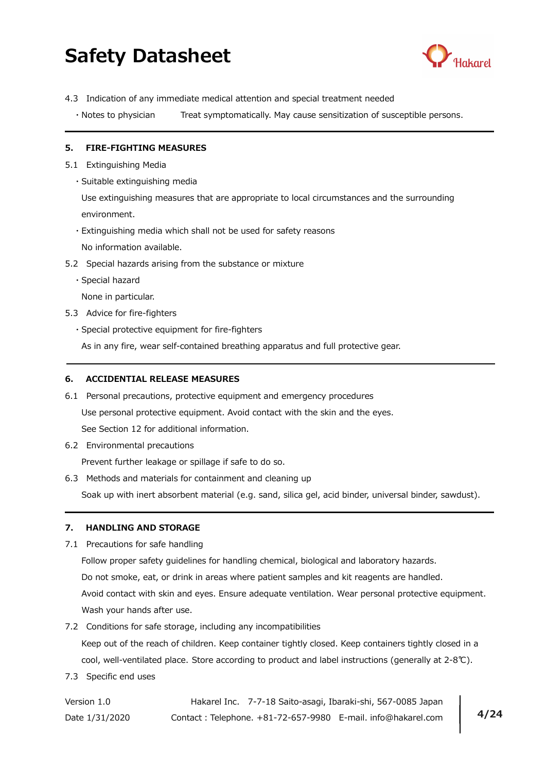

- 4.3 Indication of any immediate medical attention and special treatment needed
	- ・Notes to physician Treat symptomatically. May cause sensitization of susceptible persons.

### 5. FIRE-FIGHTING MEASURES

- 5.1 Extinguishing Media
	- ・Suitable extinguishing media

 Use extinguishing measures that are appropriate to local circumstances and the surrounding environment.

・Extinguishing media which shall not be used for safety reasons

No information available.

- 5.2 Special hazards arising from the substance or mixture
	- ・Special hazard

None in particular.

- 5.3 Advice for fire-fighters
	- ・Special protective equipment for fire-fighters

As in any fire, wear self-contained breathing apparatus and full protective gear.

### 6. ACCIDENTIAL RELEASE MEASURES

- 6.1 Personal precautions, protective equipment and emergency procedures Use personal protective equipment. Avoid contact with the skin and the eyes. See Section 12 for additional information.
- 6.2 Environmental precautions

Prevent further leakage or spillage if safe to do so.

6.3 Methods and materials for containment and cleaning up Soak up with inert absorbent material (e.g. sand, silica gel, acid binder, universal binder, sawdust).

#### 7. HANDLING AND STORAGE

7.1 Precautions for safe handling

 Follow proper safety guidelines for handling chemical, biological and laboratory hazards. Do not smoke, eat, or drink in areas where patient samples and kit reagents are handled. Avoid contact with skin and eyes. Ensure adequate ventilation. Wear personal protective equipment. Wash your hands after use.

7.2 Conditions for safe storage, including any incompatibilities

 Keep out of the reach of children. Keep container tightly closed. Keep containers tightly closed in a cool, well-ventilated place. Store according to product and label instructions (generally at 2-8℃).

7.3 Specific end uses

Version 1.0 Hakarel Inc. 7-7-18 Saito-asagi, Ibaraki-shi, 567-0085 Japan Date 1/31/2020 Contact: Telephone. +81-72-657-9980 E-mail. info@hakarel.com | 4/24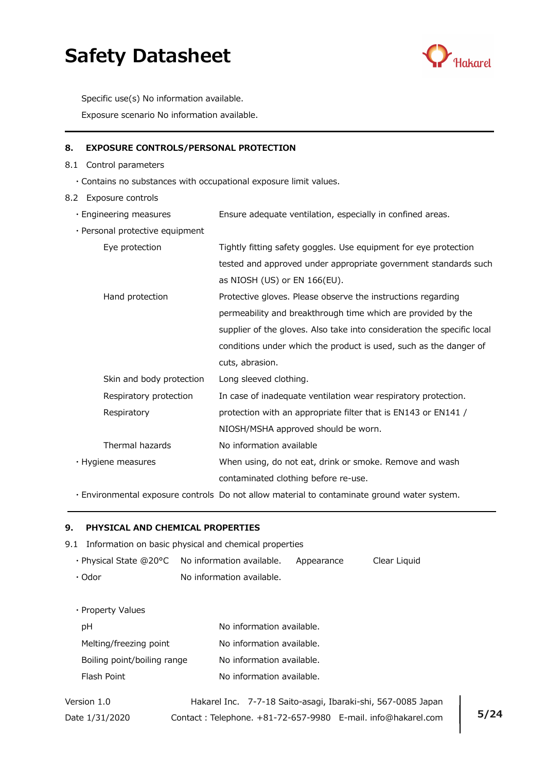

Specific use(s) No information available.

Exposure scenario No information available.

# 8. EXPOSURE CONTROLS/PERSONAL PROTECTION

- 8.1 Control parameters
	- ・Contains no substances with occupational exposure limit values.
- 8.2 Exposure controls
	- ・Engineering measures Ensure adequate ventilation, especially in confined areas.
	- ・Personal protective equipment

| crootial proceedive equipment |                                                                         |
|-------------------------------|-------------------------------------------------------------------------|
| Eye protection                | Tightly fitting safety goggles. Use equipment for eye protection        |
|                               | tested and approved under appropriate government standards such         |
|                               | as NIOSH (US) or EN 166(EU).                                            |
| Hand protection               | Protective gloves. Please observe the instructions regarding            |
|                               | permeability and breakthrough time which are provided by the            |
|                               | supplier of the gloves. Also take into consideration the specific local |
|                               | conditions under which the product is used, such as the danger of       |
|                               | cuts, abrasion.                                                         |
| Skin and body protection      | Long sleeved clothing.                                                  |
| Respiratory protection        | In case of inadequate ventilation wear respiratory protection.          |
| Respiratory                   | protection with an appropriate filter that is EN143 or EN141 /          |
|                               | NIOSH/MSHA approved should be worn.                                     |
| Thermal hazards               | No information available                                                |
| $\cdot$ Hygiene measures      | When using, do not eat, drink or smoke. Remove and wash                 |
|                               | contaminated clothing before re-use.                                    |

・Environmental exposure controls Do not allow material to contaminate ground water system.

### 9. PHYSICAL AND CHEMICAL PROPERTIES

- 9.1 Information on basic physical and chemical properties
	- ・Physical State @20°C No information available. Appearance Clear Liquid
	- $\cdot$  Odor  $\cdot$  No information available.

・Property Values

| pН                          | No information available. |
|-----------------------------|---------------------------|
| Melting/freezing point      | No information available. |
| Boiling point/boiling range | No information available. |
| Flash Point                 | No information available. |

Version 1.0 Hakarel Inc. 7-7-18 Saito-asagi, Ibaraki-shi, 567-0085 Japan Date 1/31/2020 Contact: Telephone. +81-72-657-9980 E-mail. info@hakarel.com | 5/24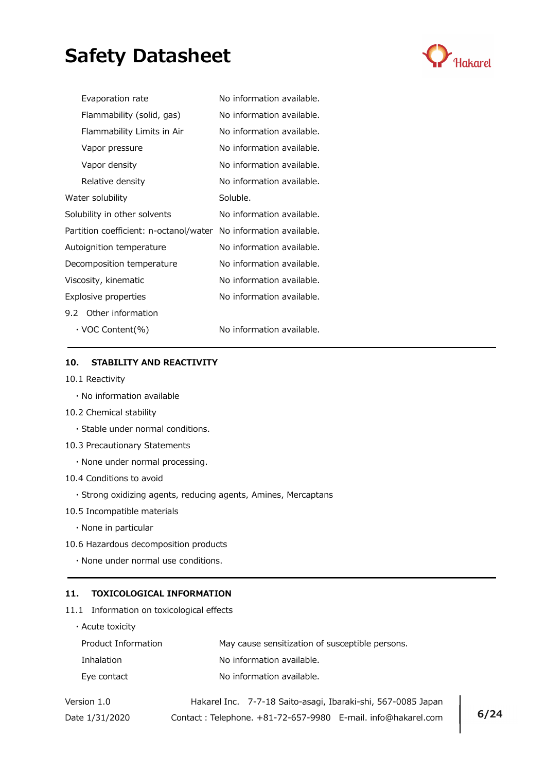

| Evaporation rate                                                 | No information available. |
|------------------------------------------------------------------|---------------------------|
| Flammability (solid, gas)                                        | No information available. |
| Flammability Limits in Air                                       | No information available. |
| Vapor pressure                                                   | No information available. |
| Vapor density                                                    | No information available. |
| Relative density                                                 | No information available. |
| Water solubility                                                 | Soluble.                  |
| Solubility in other solvents                                     | No information available. |
| Partition coefficient: n-octanol/water No information available. |                           |
| Autoignition temperature                                         | No information available. |
| Decomposition temperature                                        | No information available. |
| Viscosity, kinematic                                             | No information available. |
| Explosive properties                                             | No information available. |
| 9.2 Other information                                            |                           |
| $\cdot$ VOC Content(%)                                           | No information available. |

## 10. STABILITY AND REACTIVITY

- 10.1 Reactivity
	- ・No information available
- 10.2 Chemical stability
	- ・Stable under normal conditions.
- 10.3 Precautionary Statements
	- ・None under normal processing.
- 10.4 Conditions to avoid
	- ・Strong oxidizing agents, reducing agents, Amines, Mercaptans
- 10.5 Incompatible materials
	- ・None in particular
- 10.6 Hazardous decomposition products
	- ・None under normal use conditions.

### 11. TOXICOLOGICAL INFORMATION

11.1 Information on toxicological effects

| $\cdot$ Acute toxicity |                                                 |
|------------------------|-------------------------------------------------|
| Product Information    | May cause sensitization of susceptible persons. |
| <b>Inhalation</b>      | No information available.                       |
| Eye contact            | No information available.                       |
|                        |                                                 |

Version 1.0 Hakarel Inc. 7-7-18 Saito-asagi, Ibaraki-shi, 567-0085 Japan Date 1/31/2020 Contact: Telephone. +81-72-657-9980 E-mail. info@hakarel.com | 6/24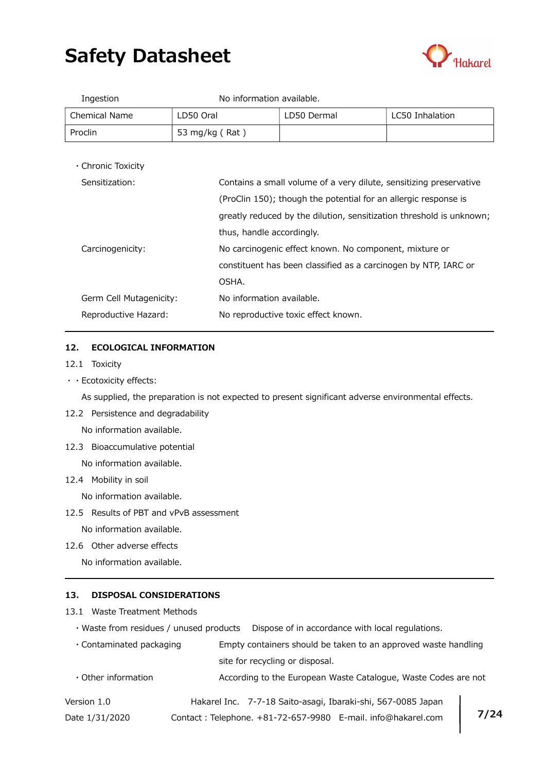

| Ingestion            | No information available. |             |                 |
|----------------------|---------------------------|-------------|-----------------|
| <b>Chemical Name</b> | LD50 Oral                 | LD50 Dermal | LC50 Inhalation |
| Proclin              | 53 mg/kg (Rat)            |             |                 |

・Chronic Toxicity

| Sensitization:          | Contains a small volume of a very dilute, sensitizing preservative   |
|-------------------------|----------------------------------------------------------------------|
|                         | (ProClin 150); though the potential for an allergic response is      |
|                         | greatly reduced by the dilution, sensitization threshold is unknown; |
|                         | thus, handle accordingly.                                            |
| Carcinogenicity:        | No carcinogenic effect known. No component, mixture or               |
|                         | constituent has been classified as a carcinogen by NTP, IARC or      |
|                         | OSHA.                                                                |
| Germ Cell Mutagenicity: | No information available.                                            |
| Reproductive Hazard:    | No reproductive toxic effect known.                                  |

#### 12. ECOLOGICAL INFORMATION

- 12.1 Toxicity
- ・・Ecotoxicity effects:

As supplied, the preparation is not expected to present significant adverse environmental effects.

12.2 Persistence and degradability

No information available.

12.3 Bioaccumulative potential

No information available.

12.4 Mobility in soil

No information available.

12.5 Results of PBT and vPvB assessment

No information available.

12.6 Other adverse effects

No information available.

#### 13. DISPOSAL CONSIDERATIONS

- 13.1 Waste Treatment Methods
	- ・Waste from residues / unused products Dispose of in accordance with local regulations.
	- ・Contaminated packaging Empty containers should be taken to an approved waste handling site for recycling or disposal.
	- Other information **According to the European Waste Catalogue, Waste Codes are not**

| Version 1.0    | Hakarel Inc. 7-7-18 Saito-asagi, Ibaraki-shi, 567-0085 Japan |  |
|----------------|--------------------------------------------------------------|--|
| Date 1/31/2020 | Contact: Telephone. +81-72-657-9980 E-mail. info@hakarel.com |  |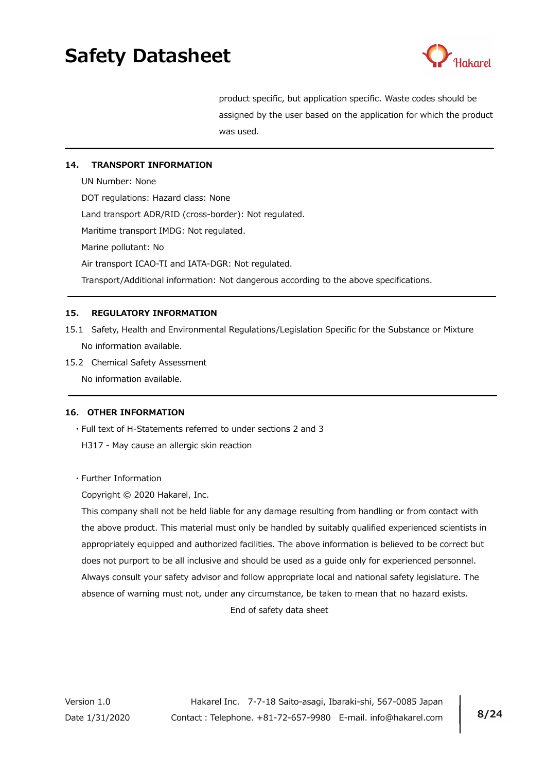

 product specific, but application specific. Waste codes should be assigned by the user based on the application for which the product was used.

## 14. TRANSPORT INFORMATION

 UN Number: None DOT regulations: Hazard class: None Land transport ADR/RID (cross-border): Not regulated. Maritime transport IMDG: Not regulated. Marine pollutant: No Air transport ICAO-TI and IATA-DGR: Not regulated. Transport/Additional information: Not dangerous according to the above specifications.

# 15. REGULATORY INFORMATION

- 15.1 Safety, Health and Environmental Regulations/Legislation Specific for the Substance or Mixture No information available.
- 15.2 Chemical Safety Assessment

No information available.

## 16. OTHER INFORMATION

- ・Full text of H-Statements referred to under sections 2 and 3
- H317 May cause an allergic skin reaction
- ・Further Information

Copyright © 2020 Hakarel, Inc.

This company shall not be held liable for any damage resulting from handling or from contact with the above product. This material must only be handled by suitably qualified experienced scientists in appropriately equipped and authorized facilities. The above information is believed to be correct but does not purport to be all inclusive and should be used as a guide only for experienced personnel. Always consult your safety advisor and follow appropriate local and national safety legislature. The absence of warning must not, under any circumstance, be taken to mean that no hazard exists. End of safety data sheet

Version 1.0 Hakarel Inc. 7-7-18 Saito-asagi, Ibaraki-shi, 567-0085 Japan Date 1/31/2020 Contact: Telephone. +81-72-657-9980 E-mail. info@hakarel.com | 8/24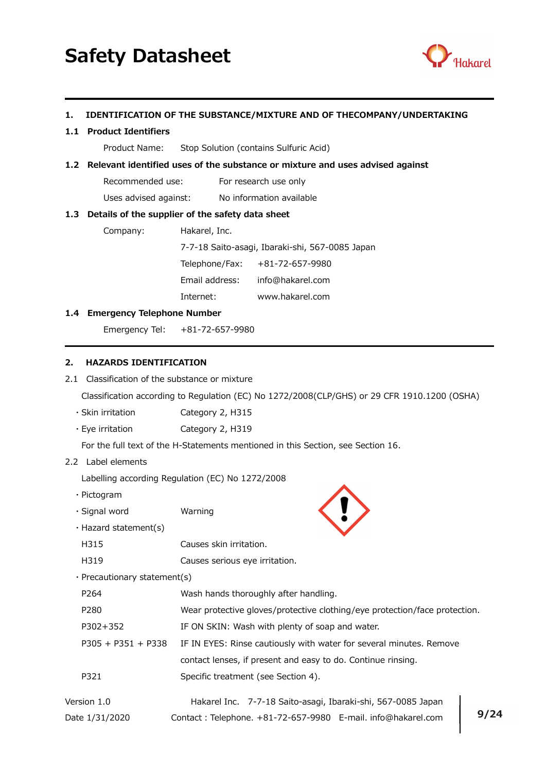

### 1. IDENTIFICATION OF THE SUBSTANCE/MIXTURE AND OF THECOMPANY/UNDERTAKING

#### 1.1 Product Identifiers

Product Name: Stop Solution (contains Sulfuric Acid)

#### 1.2 Relevant identified uses of the substance or mixture and uses advised against

Recommended use: For research use only

Uses advised against: No information available

#### 1.3 Details of the supplier of the safety data sheet

Company: Hakarel, Inc.

7-7-18 Saito-asagi, Ibaraki-shi, 567-0085 Japan

Telephone/Fax: +81-72-657-9980

Email address: info@hakarel.com

Internet: www.hakarel.com

#### 1.4 Emergency Telephone Number

Emergency Tel: +81-72-657-9980

#### 2. HAZARDS IDENTIFICATION

2.1 Classification of the substance or mixture

Classification according to Regulation (EC) No 1272/2008(CLP/GHS) or 29 CFR 1910.1200 (OSHA)

- ・Skin irritation Category 2, H315
- ・Eye irritation Category 2, H319

For the full text of the H-Statements mentioned in this Section, see Section 16.

### 2.2 Label elements

Labelling according Regulation (EC) No 1272/2008

- ・Pictogram
- ・Signal word Warning
- ・Hazard statement(s)
- H315 Causes skin irritation.
- H319 Causes serious eye irritation.
- ・Precautionary statement(s)

| P <sub>264</sub>     | Wash hands thoroughly after handling.                                      |
|----------------------|----------------------------------------------------------------------------|
| P280                 | Wear protective gloves/protective clothing/eye protection/face protection. |
| P302+352             | IF ON SKIN: Wash with plenty of soap and water.                            |
| $P305 + P351 + P338$ | IF IN EYES: Rinse cautiously with water for several minutes. Remove        |
|                      | contact lenses, if present and easy to do. Continue rinsing.               |
| P321                 | Specific treatment (see Section 4).                                        |
| Version 1.0          | Hakarel Inc. 7-7-18 Saito-asagi, Ibaraki-shi, 567-0085 Japan               |

Date 1/31/2020 Contact: Telephone. +81-72-657-9980 E-mail. info@hakarel.com | 9/24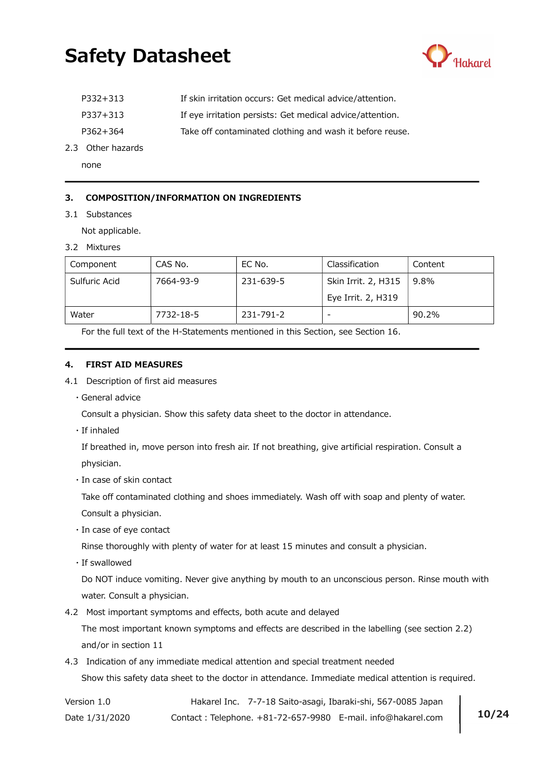

| P332+313 | If skin irritation occurs: Get medical advice/attention.  |
|----------|-----------------------------------------------------------|
| P337+313 | If eye irritation persists: Get medical advice/attention. |
| P362+364 | Take off contaminated clothing and wash it before reuse.  |

2.3 Other hazards

none

## 3. COMPOSITION/INFORMATION ON INGREDIENTS

3.1 Substances

Not applicable.

3.2 Mixtures

| Component     | CAS No.   | EC No.    | Classification      | Content |
|---------------|-----------|-----------|---------------------|---------|
| Sulfuric Acid | 7664-93-9 | 231-639-5 | Skin Irrit. 2, H315 | 9.8%    |
|               |           |           | Eye Irrit. 2, H319  |         |
| Water         | 7732-18-5 | 231-791-2 |                     | 90.2%   |

For the full text of the H-Statements mentioned in this Section, see Section 16.

#### 4. FIRST AID MEASURES

- 4.1 Description of first aid measures
	- ・General advice

Consult a physician. Show this safety data sheet to the doctor in attendance.

・If inhaled

 If breathed in, move person into fresh air. If not breathing, give artificial respiration. Consult a physician.

・In case of skin contact

Take off contaminated clothing and shoes immediately. Wash off with soap and plenty of water.

Consult a physician.

・In case of eye contact

Rinse thoroughly with plenty of water for at least 15 minutes and consult a physician.

・If swallowed

 Do NOT induce vomiting. Never give anything by mouth to an unconscious person. Rinse mouth with water. Consult a physician.

4.2 Most important symptoms and effects, both acute and delayed

 The most important known symptoms and effects are described in the labelling (see section 2.2) and/or in section 11

4.3 Indication of any immediate medical attention and special treatment needed Show this safety data sheet to the doctor in attendance. Immediate medical attention is required.

Version 1.0 Hakarel Inc. 7-7-18 Saito-asagi, Ibaraki-shi, 567-0085 Japan Date 1/31/2020 Contact: Telephone. +81-72-657-9980 E-mail. info@hakarel.com | 10/24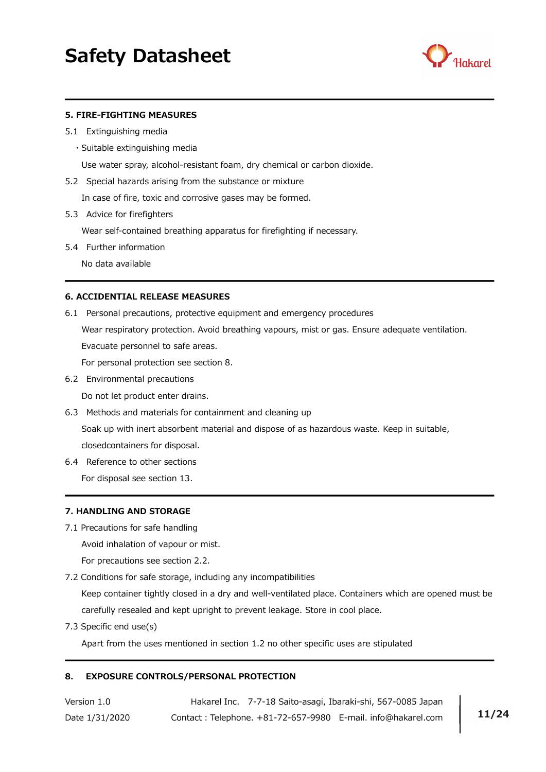

#### 5. FIRE-FIGHTING MEASURES

- 5.1 Extinguishing media
	- ・Suitable extinguishing media

Use water spray, alcohol-resistant foam, dry chemical or carbon dioxide.

5.2 Special hazards arising from the substance or mixture

In case of fire, toxic and corrosive gases may be formed.

5.3 Advice for firefighters

Wear self-contained breathing apparatus for firefighting if necessary.

5.4 Further information

No data available

### 6. ACCIDENTIAL RELEASE MEASURES

6.1 Personal precautions, protective equipment and emergency procedures

 Wear respiratory protection. Avoid breathing vapours, mist or gas. Ensure adequate ventilation. Evacuate personnel to safe areas.

For personal protection see section 8.

6.2 Environmental precautions

Do not let product enter drains.

6.3 Methods and materials for containment and cleaning up

 Soak up with inert absorbent material and dispose of as hazardous waste. Keep in suitable, closedcontainers for disposal.

6.4 Reference to other sections

For disposal see section 13.

#### 7. HANDLING AND STORAGE

7.1 Precautions for safe handling

Avoid inhalation of vapour or mist.

For precautions see section 2.2.

7.2 Conditions for safe storage, including any incompatibilities

 Keep container tightly closed in a dry and well-ventilated place. Containers which are opened must be carefully resealed and kept upright to prevent leakage. Store in cool place.

7.3 Specific end use(s)

Apart from the uses mentioned in section 1.2 no other specific uses are stipulated

#### 8. EXPOSURE CONTROLS/PERSONAL PROTECTION

Version 1.0 Hakarel Inc. 7-7-18 Saito-asagi, Ibaraki-shi, 567-0085 Japan Date 1/31/2020 Contact: Telephone. +81-72-657-9980 E-mail. info@hakarel.com | 11/24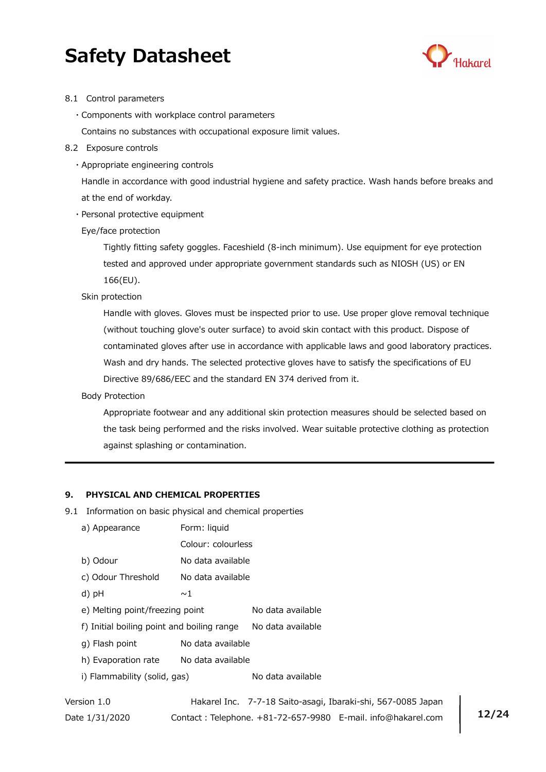

#### 8.1 Control parameters

・Components with workplace control parameters

Contains no substances with occupational exposure limit values.

- 8.2 Exposure controls
	- ・Appropriate engineering controls

 Handle in accordance with good industrial hygiene and safety practice. Wash hands before breaks and at the end of workday.

・Personal protective equipment

Eye/face protection

Tightly fitting safety goggles. Faceshield (8-inch minimum). Use equipment for eye protection tested and approved under appropriate government standards such as NIOSH (US) or EN 166(EU).

Skin protection

Handle with gloves. Gloves must be inspected prior to use. Use proper glove removal technique (without touching glove's outer surface) to avoid skin contact with this product. Dispose of contaminated gloves after use in accordance with applicable laws and good laboratory practices. Wash and dry hands. The selected protective gloves have to satisfy the specifications of EU Directive 89/686/EEC and the standard EN 374 derived from it.

Body Protection

Appropriate footwear and any additional skin protection measures should be selected based on the task being performed and the risks involved. Wear suitable protective clothing as protection against splashing or contamination.

#### 9. PHYSICAL AND CHEMICAL PROPERTIES

- 9.1 Information on basic physical and chemical properties
	- a) Appearance Form: liquid
		- Colour: colourless
	- b) Odour No data available
	- c) Odour Threshold No data available
	- d)  $pH$   $\sim$  1
	- e) Melting point/freezing point No data available

f) Initial boiling point and boiling range No data available

- g) Flash point No data available
- h) Evaporation rate No data available
- i) Flammability (solid, gas) No data available

Version 1.0 Hakarel Inc. 7-7-18 Saito-asagi, Ibaraki-shi, 567-0085 Japan Date 1/31/2020 Contact: Telephone. +81-72-657-9980 E-mail. info@hakarel.com | 12/24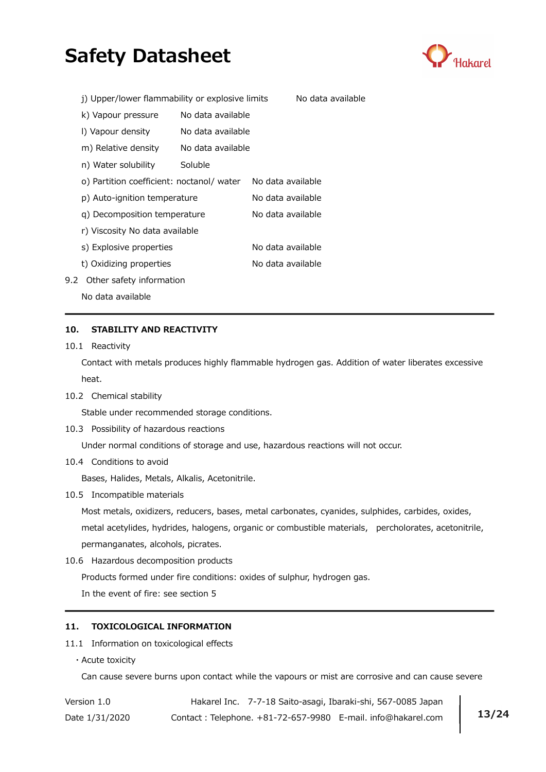

|     | j) Upper/lower flammability or explosive limits |                   |                   | No data available |
|-----|-------------------------------------------------|-------------------|-------------------|-------------------|
|     | k) Vapour pressure                              | No data available |                   |                   |
|     | I) Vapour density                               | No data available |                   |                   |
|     | m) Relative density                             | No data available |                   |                   |
|     | n) Water solubility                             | Soluble           |                   |                   |
|     | o) Partition coefficient: noctanol/ water       |                   | No data available |                   |
|     | p) Auto-ignition temperature                    |                   | No data available |                   |
|     | g) Decomposition temperature                    |                   | No data available |                   |
|     | r) Viscosity No data available                  |                   |                   |                   |
|     | s) Explosive properties                         |                   | No data available |                   |
|     | t) Oxidizing properties                         |                   | No data available |                   |
| 9.2 | Other safety information                        |                   |                   |                   |

No data available

## 10. STABILITY AND REACTIVITY

10.1 Reactivity

 Contact with metals produces highly flammable hydrogen gas. Addition of water liberates excessive heat.

10.2 Chemical stability

Stable under recommended storage conditions.

10.3 Possibility of hazardous reactions

Under normal conditions of storage and use, hazardous reactions will not occur.

10.4 Conditions to avoid

Bases, Halides, Metals, Alkalis, Acetonitrile.

10.5 Incompatible materials

 Most metals, oxidizers, reducers, bases, metal carbonates, cyanides, sulphides, carbides, oxides, metal acetylides, hydrides, halogens, organic or combustible materials, percholorates, acetonitrile, permanganates, alcohols, picrates.

10.6 Hazardous decomposition products

Products formed under fire conditions: oxides of sulphur, hydrogen gas.

In the event of fire: see section 5

# 11. TOXICOLOGICAL INFORMATION

#### 11.1 Information on toxicological effects

・Acute toxicity

Can cause severe burns upon contact while the vapours or mist are corrosive and can cause severe

| Version 1.0    | Hakarel Inc. 7-7-18 Saito-asagi, Ibaraki-shi, 567-0085 Japan |       |
|----------------|--------------------------------------------------------------|-------|
| Date 1/31/2020 | Contact: Telephone. +81-72-657-9980 E-mail. info@hakarel.com | 13/24 |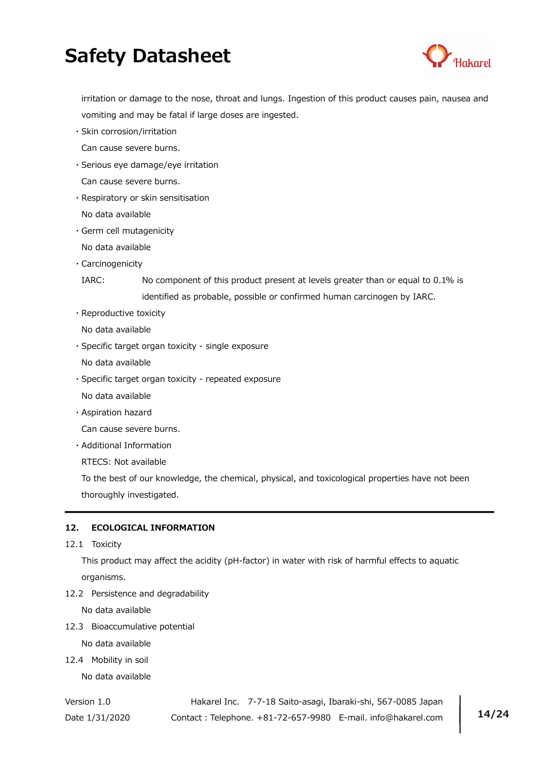

 irritation or damage to the nose, throat and lungs. Ingestion of this product causes pain, nausea and vomiting and may be fatal if large doses are ingested.

- ・Skin corrosion/irritation Can cause severe burns.
- ・Serious eye damage/eye irritation
- Can cause severe burns.
- ・Respiratory or skin sensitisation No data available
- ・Germ cell mutagenicity
- No data available
- ・Carcinogenicity

 IARC: No component of this product present at levels greater than or equal to 0.1% is identified as probable, possible or confirmed human carcinogen by IARC.

- ・Reproductive toxicity
- No data available
- ・Specific target organ toxicity single exposure
- No data available
- ・Specific target organ toxicity repeated exposure
- No data available
- ・Aspiration hazard

Can cause severe burns.

・Additional Information

RTECS: Not available

 To the best of our knowledge, the chemical, physical, and toxicological properties have not been thoroughly investigated.

# 12. ECOLOGICAL INFORMATION

12.1 Toxicity

 This product may affect the acidity (pH-factor) in water with risk of harmful effects to aquatic organisms.

12.2 Persistence and degradability

No data available

12.3 Bioaccumulative potential

No data available

12.4 Mobility in soil

No data available

Version 1.0 Hakarel Inc. 7-7-18 Saito-asagi, Ibaraki-shi, 567-0085 Japan Date 1/31/2020 Contact: Telephone. +81-72-657-9980 E-mail. info@hakarel.com | 14/24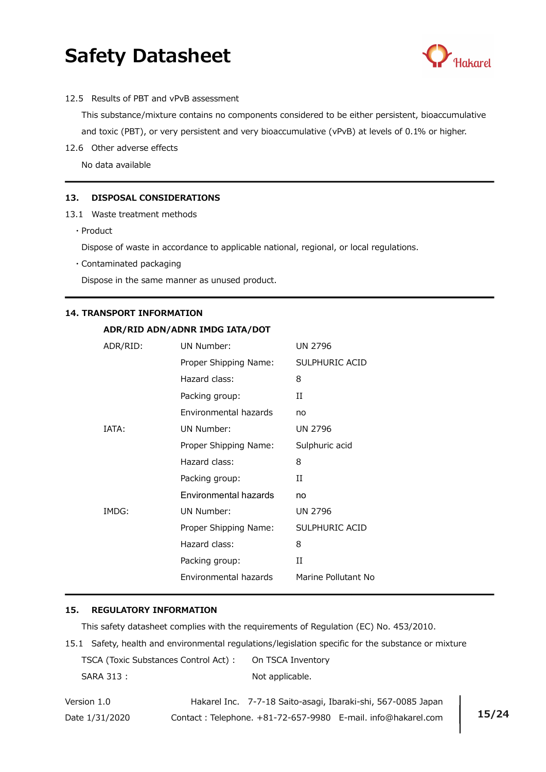

12.5 Results of PBT and vPvB assessment

 This substance/mixture contains no components considered to be either persistent, bioaccumulative and toxic (PBT), or very persistent and very bioaccumulative (vPvB) at levels of 0.1% or higher.

12.6 Other adverse effects

No data available

#### 13. DISPOSAL CONSIDERATIONS

- 13.1 Waste treatment methods
	- ・Product

Dispose of waste in accordance to applicable national, regional, or local regulations.

・Contaminated packaging

Dispose in the same manner as unused product.

#### 14. TRANSPORT INFORMATION

#### ADR/RID ADN/ADNR IMDG IATA/DOT

| ADR/RID: | UN Number:            | <b>UN 2796</b>      |
|----------|-----------------------|---------------------|
|          | Proper Shipping Name: | SULPHURIC ACID      |
|          | Hazard class:         | 8                   |
|          | Packing group:        | и                   |
|          | Environmental hazards | no                  |
| IATA:    | UN Number:            | <b>UN 2796</b>      |
|          | Proper Shipping Name: | Sulphuric acid      |
|          | Hazard class:         | 8                   |
|          | Packing group:        | П                   |
|          | Environmental hazards | no                  |
| IMDG:    | UN Number:            | <b>UN 2796</b>      |
|          | Proper Shipping Name: | SULPHURIC ACID      |
|          | Hazard class:         | 8                   |
|          | Packing group:        | и                   |
|          | Environmental hazards | Marine Pollutant No |

#### 15. REGULATORY INFORMATION

This safety datasheet complies with the requirements of Regulation (EC) No. 453/2010.

15.1 Safety, health and environmental regulations/legislation specific for the substance or mixture TSCA (Toxic Substances Control Act) : On TSCA Inventory

| <b>POCATIONIC SUBSTAINERS CONTENT ACCI</b> | <u>UILLUUT IIIVU</u> |
|--------------------------------------------|----------------------|
| SARA 313:                                  | Not applicable.      |

| Version 1.0    | Hakarel Inc. 7-7-18 Saito-asagi, Ibaraki-shi, 567-0085 Japan |       |
|----------------|--------------------------------------------------------------|-------|
| Date 1/31/2020 | Contact: Telephone. +81-72-657-9980 E-mail. info@hakarel.com | 15/24 |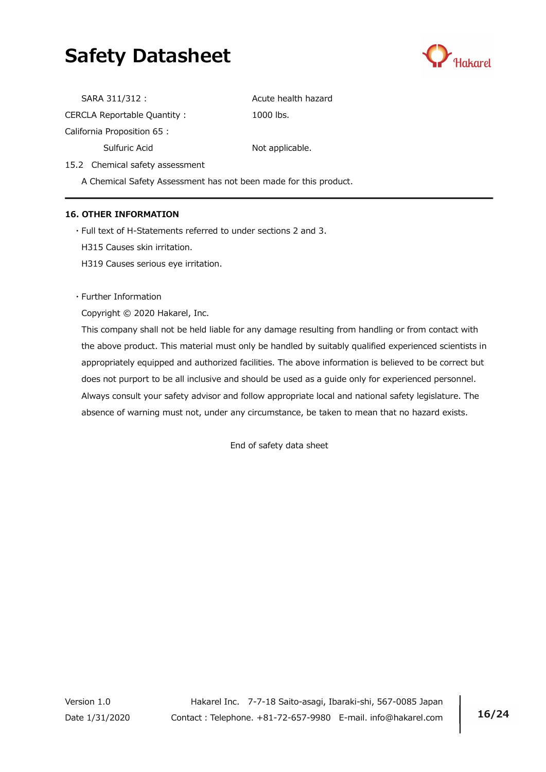

| SARA 311/312 :              | Acute health hazard |
|-----------------------------|---------------------|
| CERCLA Reportable Quantity: | 1000 lbs.           |
| California Proposition 65 : |                     |
| Sulfuric Acid               | Not applicable.     |

15.2 Chemical safety assessment

A Chemical Safety Assessment has not been made for this product.

# 16. OTHER INFORMATION

・Full text of H-Statements referred to under sections 2 and 3.

H315 Causes skin irritation.

H319 Causes serious eye irritation.

・Further Information

Copyright © 2020 Hakarel, Inc.

 This company shall not be held liable for any damage resulting from handling or from contact with the above product. This material must only be handled by suitably qualified experienced scientists in appropriately equipped and authorized facilities. The above information is believed to be correct but does not purport to be all inclusive and should be used as a guide only for experienced personnel. Always consult your safety advisor and follow appropriate local and national safety legislature. The absence of warning must not, under any circumstance, be taken to mean that no hazard exists.

End of safety data sheet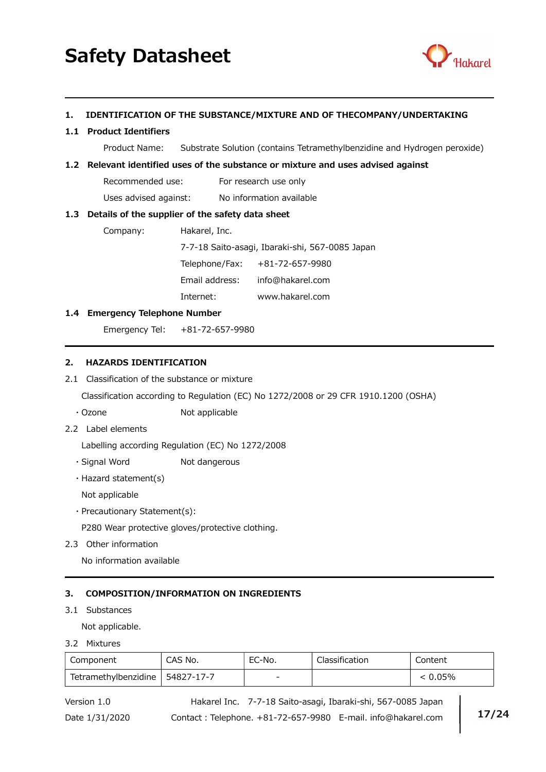

## 1. IDENTIFICATION OF THE SUBSTANCE/MIXTURE AND OF THECOMPANY/UNDERTAKING

### 1.1 Product Identifiers

Product Name: Substrate Solution (contains Tetramethylbenzidine and Hydrogen peroxide)

### 1.2 Relevant identified uses of the substance or mixture and uses advised against

Recommended use: For research use only

Uses advised against: No information available

### 1.3 Details of the supplier of the safety data sheet

Company: Hakarel, Inc.

7-7-18 Saito-asagi, Ibaraki-shi, 567-0085 Japan

Telephone/Fax: +81-72-657-9980

Email address: info@hakarel.com

Internet: www.hakarel.com

## 1.4 Emergency Telephone Number

Emergency Tel: +81-72-657-9980

# 2. HAZARDS IDENTIFICATION

2.1 Classification of the substance or mixture

Classification according to Regulation (EC) No 1272/2008 or 29 CFR 1910.1200 (OSHA)

- ・Ozone Not applicable
- 2.2 Label elements

Labelling according Regulation (EC) No 1272/2008

- · Signal Word Not dangerous
- ・Hazard statement(s)

Not applicable

・Precautionary Statement(s):

P280 Wear protective gloves/protective clothing.

2.3 Other information

No information available

# 3. COMPOSITION/INFORMATION ON INGREDIENTS

## 3.1 Substances

Not applicable.

3.2 Mixtures

| Component            | CAS No.    | EC-No. | Classification | Content |
|----------------------|------------|--------|----------------|---------|
| Tetramethylbenzidine | 54827-17-7 | -      |                | 0.05%   |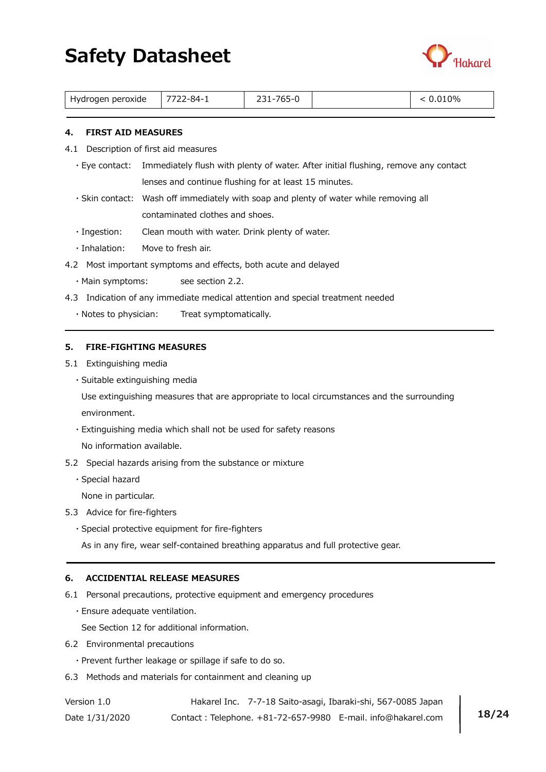

| ) peroxide<br>Hydrogen<br>. | $\qquad \qquad \neg \neg \neg$<br>∕ -84-′ | ___<br>_____ |  | 2%<br>____ |
|-----------------------------|-------------------------------------------|--------------|--|------------|
|-----------------------------|-------------------------------------------|--------------|--|------------|

### 4. FIRST AID MEASURES

- 4.1 Description of first aid measures
	- ・Eye contact: Immediately flush with plenty of water. After initial flushing, remove any contact lenses and continue flushing for at least 15 minutes.
	- ・Skin contact: Wash off immediately with soap and plenty of water while removing all contaminated clothes and shoes.
	- ・Ingestion: Clean mouth with water. Drink plenty of water.
	- ・Inhalation: Move to fresh air.
- 4.2 Most important symptoms and effects, both acute and delayed
	- ・Main symptoms: see section 2.2.
- 4.3 Indication of any immediate medical attention and special treatment needed
	- ・Notes to physician: Treat symptomatically.

#### 5. FIRE-FIGHTING MEASURES

- 5.1 Extinguishing media
	- ・Suitable extinguishing media

 Use extinguishing measures that are appropriate to local circumstances and the surrounding environment.

- ・Extinguishing media which shall not be used for safety reasons No information available.
- 5.2 Special hazards arising from the substance or mixture
	- ・Special hazard

None in particular.

- 5.3 Advice for fire-fighters
	- ・Special protective equipment for fire-fighters

As in any fire, wear self-contained breathing apparatus and full protective gear.

### 6. ACCIDENTIAL RELEASE MEASURES

- 6.1 Personal precautions, protective equipment and emergency procedures
	- ・Ensure adequate ventilation.

See Section 12 for additional information.

- 6.2 Environmental precautions
	- ・Prevent further leakage or spillage if safe to do so.
- 6.3 Methods and materials for containment and cleaning up

| Version 1.0    | Hakarel Inc. 7-7-18 Saito-asagi, Ibaraki-shi, 567-0085 Japan |       |
|----------------|--------------------------------------------------------------|-------|
| Date 1/31/2020 | Contact: Telephone. +81-72-657-9980 E-mail. info@hakarel.com | 18/24 |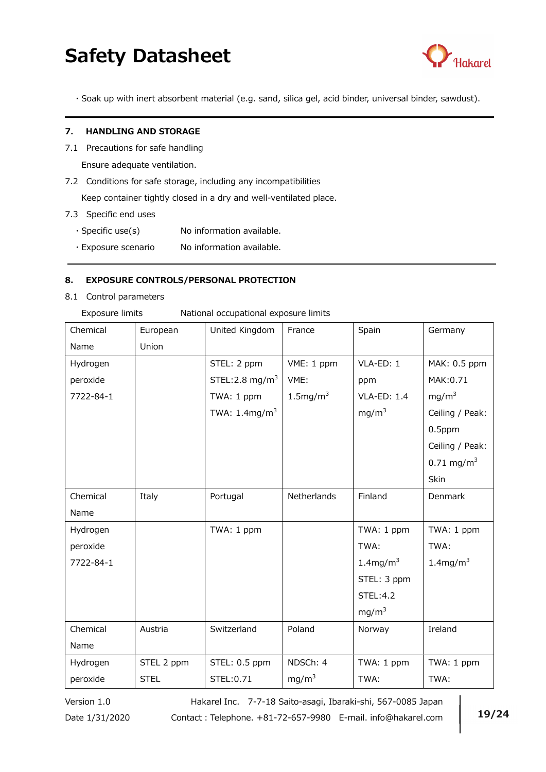

・Soak up with inert absorbent material (e.g. sand, silica gel, acid binder, universal binder, sawdust).

#### 7. HANDLING AND STORAGE

7.1 Precautions for safe handling

Ensure adequate ventilation.

7.2 Conditions for safe storage, including any incompatibilities

Keep container tightly closed in a dry and well-ventilated place.

- 7.3 Specific end uses
	- $\cdot$  Specific use(s) No information available.
	- ・Exposure scenario No information available.

## 8. EXPOSURE CONTROLS/PERSONAL PROTECTION

8.1 Control parameters Exposure limits

|  | National occupational exposure limits |  |
|--|---------------------------------------|--|
|  |                                       |  |

| Chemical  | European    | United Kingdom              | France              | Spain               | Germany                 |
|-----------|-------------|-----------------------------|---------------------|---------------------|-------------------------|
| Name      | Union       |                             |                     |                     |                         |
| Hydrogen  |             | STEL: 2 ppm                 | VME: 1 ppm          | VLA-ED: 1           | MAK: 0.5 ppm            |
| peroxide  |             | STEL: 2.8 mg/m <sup>3</sup> | VME:                | ppm                 | MAK:0.71                |
| 7722-84-1 |             | TWA: 1 ppm                  | $1.5 \text{mg/m}^3$ | <b>VLA-ED: 1.4</b>  | mg/m <sup>3</sup>       |
|           |             | TWA: $1.4 \text{mg/m}^3$    |                     | mg/m <sup>3</sup>   | Ceiling / Peak:         |
|           |             |                             |                     |                     | $0.5$ ppm               |
|           |             |                             |                     |                     | Ceiling / Peak:         |
|           |             |                             |                     |                     | $0.71 \text{ mg/m}^3$   |
|           |             |                             |                     |                     | Skin                    |
| Chemical  | Italy       | Portugal                    | Netherlands         | Finland             | Denmark                 |
| Name      |             |                             |                     |                     |                         |
| Hydrogen  |             | TWA: 1 ppm                  |                     | TWA: 1 ppm          | TWA: 1 ppm              |
| peroxide  |             |                             |                     | TWA:                | TWA:                    |
| 7722-84-1 |             |                             |                     | $1.4 \text{mg/m}^3$ | $1.4$ mg/m <sup>3</sup> |
|           |             |                             |                     | STEL: 3 ppm         |                         |
|           |             |                             |                     | STEL:4.2            |                         |
|           |             |                             |                     | mg/m <sup>3</sup>   |                         |
| Chemical  | Austria     | Switzerland                 | Poland              | Norway              | Ireland                 |
| Name      |             |                             |                     |                     |                         |
| Hydrogen  | STEL 2 ppm  | STEL: 0.5 ppm               | NDSCh: 4            | TWA: 1 ppm          | TWA: 1 ppm              |
| peroxide  | <b>STEL</b> | STEL: 0.71                  | mg/m <sup>3</sup>   | TWA:                | TWA:                    |

Version 1.0 Hakarel Inc. 7-7-18 Saito-asagi, Ibaraki-shi, 567-0085 Japan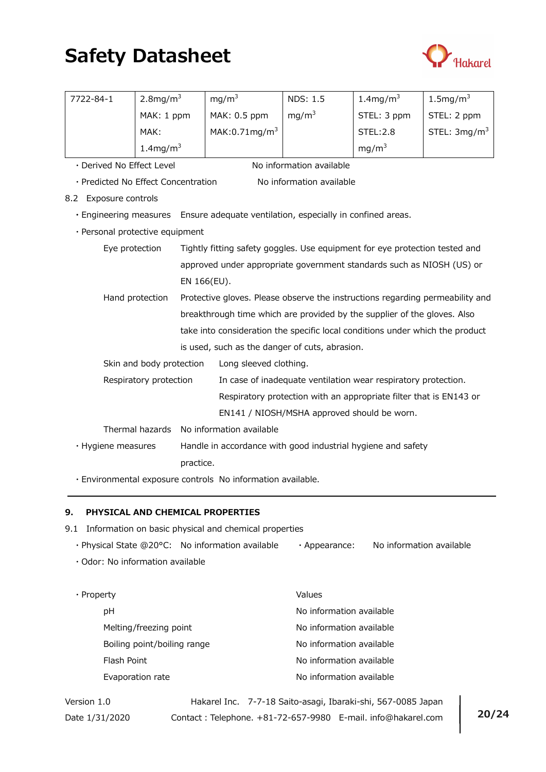

| 7722-84-1                           | $2.8$ mg/m <sup>3</sup>  |             | mg/m <sup>3</sup>                                                                 | <b>NDS: 1.5</b>                                                    | $1.4$ mg/m <sup>3</sup> | $1.5 \text{mg/m}^3$ |
|-------------------------------------|--------------------------|-------------|-----------------------------------------------------------------------------------|--------------------------------------------------------------------|-------------------------|---------------------|
|                                     | MAK: 1 ppm               |             | MAK: 0.5 ppm                                                                      | mg/m <sup>3</sup>                                                  | STEL: 3 ppm             | STEL: 2 ppm         |
|                                     | MAK:                     |             | MAK:0.71 $mg/m3$                                                                  |                                                                    | <b>STEL:2.8</b>         | STEL: $3mg/m3$      |
|                                     | $1.4$ mg/m <sup>3</sup>  |             |                                                                                   |                                                                    | mg/m <sup>3</sup>       |                     |
| · Derived No Effect Level           |                          |             |                                                                                   | No information available                                           |                         |                     |
| · Predicted No Effect Concentration |                          |             |                                                                                   | No information available                                           |                         |                     |
| <b>Exposure controls</b><br>8.2     |                          |             |                                                                                   |                                                                    |                         |                     |
|                                     |                          |             | . Engineering measures Ensure adequate ventilation, especially in confined areas. |                                                                    |                         |                     |
| · Personal protective equipment     |                          |             |                                                                                   |                                                                    |                         |                     |
| Eye protection                      |                          |             | Tightly fitting safety goggles. Use equipment for eye protection tested and       |                                                                    |                         |                     |
|                                     |                          |             | approved under appropriate government standards such as NIOSH (US) or             |                                                                    |                         |                     |
|                                     |                          | EN 166(EU). |                                                                                   |                                                                    |                         |                     |
|                                     | Hand protection          |             | Protective gloves. Please observe the instructions regarding permeability and     |                                                                    |                         |                     |
|                                     |                          |             | breakthrough time which are provided by the supplier of the gloves. Also          |                                                                    |                         |                     |
|                                     |                          |             | take into consideration the specific local conditions under which the product     |                                                                    |                         |                     |
|                                     |                          |             | is used, such as the danger of cuts, abrasion.                                    |                                                                    |                         |                     |
|                                     | Skin and body protection |             | Long sleeved clothing.                                                            |                                                                    |                         |                     |
|                                     | Respiratory protection   |             | In case of inadequate ventilation wear respiratory protection.                    |                                                                    |                         |                     |
|                                     |                          |             |                                                                                   | Respiratory protection with an appropriate filter that is EN143 or |                         |                     |
|                                     |                          |             |                                                                                   | EN141 / NIOSH/MSHA approved should be worn.                        |                         |                     |
|                                     | Thermal hazards          |             | No information available                                                          |                                                                    |                         |                     |
| · Hygiene measures                  |                          |             |                                                                                   | Handle in accordance with good industrial hygiene and safety       |                         |                     |
|                                     |                          | practice.   |                                                                                   |                                                                    |                         |                     |

・Environmental exposure controls No information available.

## 9. PHYSICAL AND CHEMICAL PROPERTIES

- 9.1 Information on basic physical and chemical properties
	- ・Physical State @20°C: No information available ・Appearance: No information available
	- ・Odor: No information available

| $\cdot$ Property |                             | Values                   |
|------------------|-----------------------------|--------------------------|
|                  | рH                          | No information available |
|                  | Melting/freezing point      | No information available |
|                  | Boiling point/boiling range | No information available |
|                  | Flash Point                 | No information available |
|                  | Evaporation rate            | No information available |

Version 1.0 Hakarel Inc. 7-7-18 Saito-asagi, Ibaraki-shi, 567-0085 Japan Date 1/31/2020 Contact: Telephone. +81-72-657-9980 E-mail. info@hakarel.com 20/24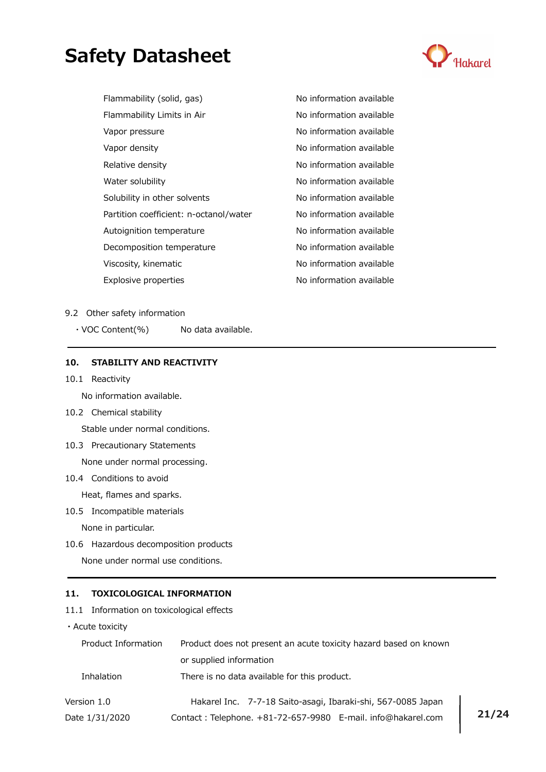

| Flammability (solid, gas)              | No informati |
|----------------------------------------|--------------|
| Flammability Limits in Air             | No informati |
| Vapor pressure                         | No informati |
| Vapor density                          | No informati |
| Relative density                       | No informati |
| Water solubility                       | No informati |
| Solubility in other solvents           | No informati |
| Partition coefficient: n-octanol/water | No informati |
| Autoignition temperature               | No informati |
| Decomposition temperature              | No informati |
| Viscosity, kinematic                   | No informati |
| Explosive properties                   | No informati |

on available on available on available on available on available on available on available on available on available on available on available on available

#### 9.2 Other safety information

 $\cdot$  VOC Content(%) No data available.

#### 10. STABILITY AND REACTIVITY

10.1 Reactivity

No information available.

10.2 Chemical stability

Stable under normal conditions.

- 10.3 Precautionary Statements None under normal processing.
- 10.4 Conditions to avoid

Heat, flames and sparks.

10.5 Incompatible materials

None in particular.

10.6 Hazardous decomposition products

None under normal use conditions.

## 11. TOXICOLOGICAL INFORMATION

11.1 Information on toxicological effects

・Acute toxicity

| Product Information | Product does not present an acute toxicity hazard based on known |       |  |  |
|---------------------|------------------------------------------------------------------|-------|--|--|
|                     | or supplied information                                          |       |  |  |
| Inhalation          | There is no data available for this product.                     |       |  |  |
| Version 1.0         | Hakarel Inc. 7-7-18 Saito-asagi, Ibaraki-shi, 567-0085 Japan     |       |  |  |
| Date 1/31/2020      | Contact: Telephone. +81-72-657-9980 E-mail. info@hakarel.com     | 21/24 |  |  |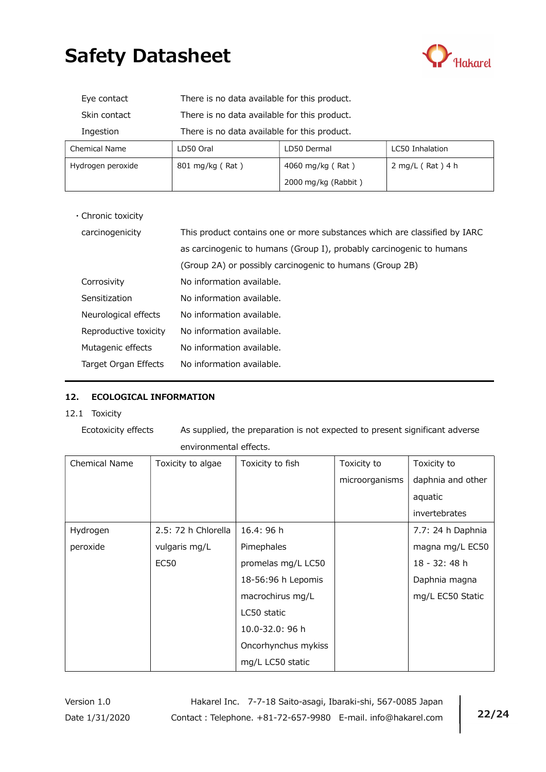

| Eye contact          | There is no data available for this product. |                  |                    |  |  |
|----------------------|----------------------------------------------|------------------|--------------------|--|--|
| Skin contact         | There is no data available for this product. |                  |                    |  |  |
| Ingestion            | There is no data available for this product. |                  |                    |  |  |
| <b>Chemical Name</b> | LC50 Inhalation<br>LD50 Oral<br>LD50 Dermal  |                  |                    |  |  |
| Hydrogen peroxide    | $801 \text{ mg/kg}$ (Rat)                    | 4060 mg/kg (Rat) | $2$ mg/L (Rat) 4 h |  |  |
| 2000 mg/kg (Rabbit)  |                                              |                  |                    |  |  |
|                      |                                              |                  |                    |  |  |

・Chronic toxicity

| carcinogenicity       | This product contains one or more substances which are classified by IARC |
|-----------------------|---------------------------------------------------------------------------|
|                       | as carcinogenic to humans (Group I), probably carcinogenic to humans      |
|                       | (Group 2A) or possibly carcinogenic to humans (Group 2B)                  |
| Corrosivity           | No information available.                                                 |
| Sensitization         | No information available.                                                 |
| Neurological effects  | No information available.                                                 |
| Reproductive toxicity | No information available.                                                 |
| Mutagenic effects     | No information available.                                                 |
| Target Organ Effects  | No information available.                                                 |

## 12. ECOLOGICAL INFORMATION

12.1 Toxicity

Ecotoxicity effects As supplied, the preparation is not expected to present significant adverse environmental effects.

| <b>Chemical Name</b> | Toxicity to algae   | Toxicity to fish    | Toxicity to    | Toxicity to       |
|----------------------|---------------------|---------------------|----------------|-------------------|
|                      |                     |                     | microorganisms | daphnia and other |
|                      |                     |                     |                | aquatic           |
|                      |                     |                     |                | invertebrates     |
| Hydrogen             | 2.5: 72 h Chlorella | 16.4: 96 h          |                | 7.7: 24 h Daphnia |
| peroxide             | vulgaris mg/L       | Pimephales          |                | magna mg/L EC50   |
|                      | <b>EC50</b>         | promelas mg/L LC50  |                | 18 - 32: 48 h     |
|                      |                     | 18-56:96 h Lepomis  |                | Daphnia magna     |
|                      |                     | macrochirus mg/L    |                | mg/L EC50 Static  |
|                      |                     | LC50 static         |                |                   |
|                      |                     | 10.0-32.0: 96 h     |                |                   |
|                      |                     | Oncorhynchus mykiss |                |                   |
|                      |                     | mg/L LC50 static    |                |                   |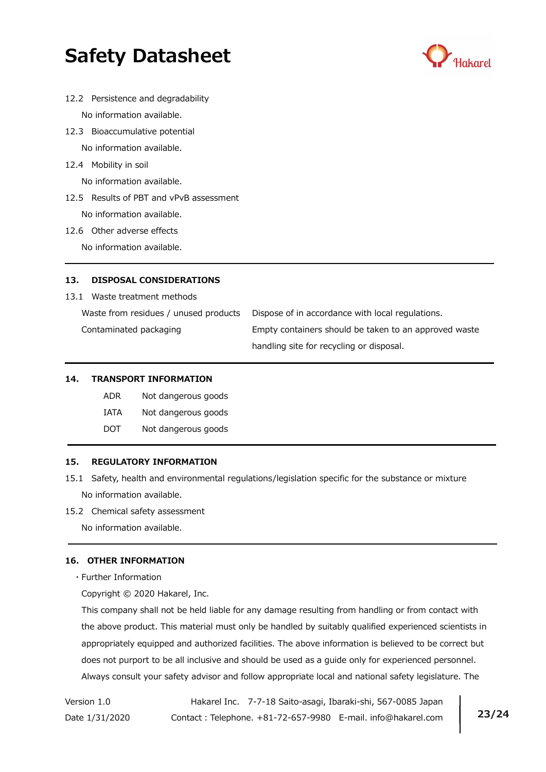

- 12.2 Persistence and degradability No information available.
- 12.3 Bioaccumulative potential No information available.
- 12.4 Mobility in soil

No information available.

- 12.5 Results of PBT and vPvB assessment No information available.
- 12.6 Other adverse effects

No information available.

# 13. DISPOSAL CONSIDERATIONS

13.1 Waste treatment methods

Waste from residues / unused products Dispose of in accordance with local regulations.

 Contaminated packaging Empty containers should be taken to an approved waste handling site for recycling or disposal.

## 14. TRANSPORT INFORMATION

- ADR Not dangerous goods
- IATA Not dangerous goods
- DOT Not dangerous goods

## 15. REGULATORY INFORMATION

- 15.1 Safety, health and environmental regulations/legislation specific for the substance or mixture No information available.
- 15.2 Chemical safety assessment

No information available.

## 16. OTHER INFORMATION

・Further Information

Copyright © 2020 Hakarel, Inc.

 This company shall not be held liable for any damage resulting from handling or from contact with the above product. This material must only be handled by suitably qualified experienced scientists in appropriately equipped and authorized facilities. The above information is believed to be correct but does not purport to be all inclusive and should be used as a guide only for experienced personnel. Always consult your safety advisor and follow appropriate local and national safety legislature. The

Version 1.0 Hakarel Inc. 7-7-18 Saito-asagi, Ibaraki-shi, 567-0085 Japan Date 1/31/2020 Contact: Telephone. +81-72-657-9980 E-mail. info@hakarel.com | 23/24